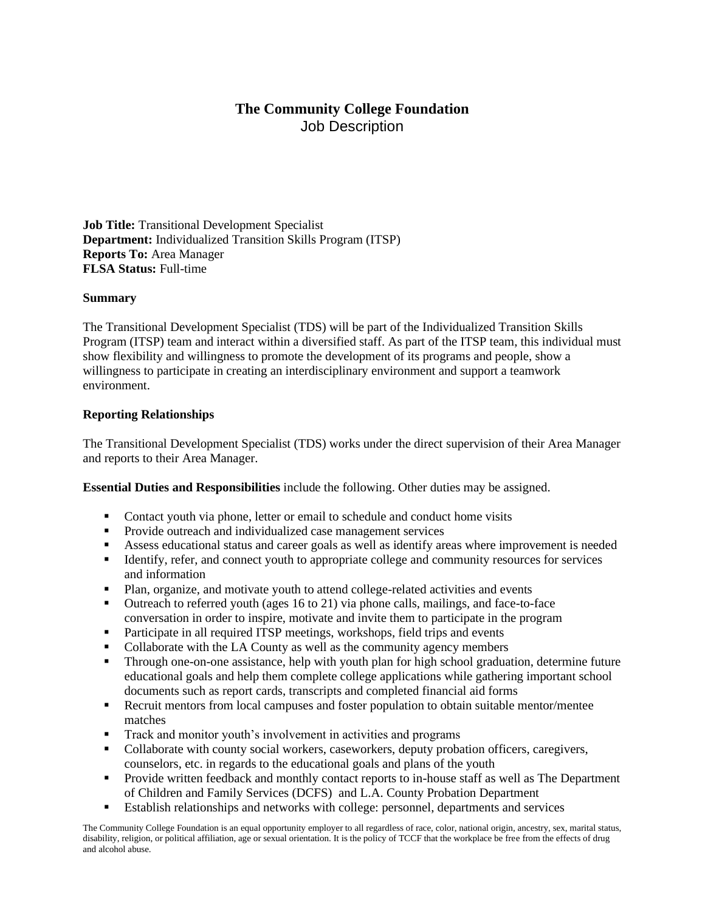# **The Community College Foundation** Job Description

**Job Title:** Transitional Development Specialist **Department:** Individualized Transition Skills Program (ITSP) **Reports To:** Area Manager **FLSA Status:** Full-time

#### **Summary**

The Transitional Development Specialist (TDS) will be part of the Individualized Transition Skills Program (ITSP) team and interact within a diversified staff. As part of the ITSP team, this individual must show flexibility and willingness to promote the development of its programs and people, show a willingness to participate in creating an interdisciplinary environment and support a teamwork environment.

#### **Reporting Relationships**

The Transitional Development Specialist (TDS) works under the direct supervision of their Area Manager and reports to their Area Manager.

**Essential Duties and Responsibilities** include the following. Other duties may be assigned.

- Contact youth via phone, letter or email to schedule and conduct home visits
- Provide outreach and individualized case management services
- Assess educational status and career goals as well as identify areas where improvement is needed
- **EXECUTE:** Identify, refer, and connect youth to appropriate college and community resources for services and information
- Plan, organize, and motivate youth to attend college-related activities and events
- Outreach to referred youth (ages 16 to 21) via phone calls, mailings, and face-to-face conversation in order to inspire, motivate and invite them to participate in the program
- **•** Participate in all required ITSP meetings, workshops, field trips and events
- Collaborate with the LA County as well as the community agency members
- **•** Through one-on-one assistance, help with youth plan for high school graduation, determine future educational goals and help them complete college applications while gathering important school documents such as report cards, transcripts and completed financial aid forms
- Recruit mentors from local campuses and foster population to obtain suitable mentor/mentee matches
- **Track and monitor youth's involvement in activities and programs**
- Collaborate with county social workers, caseworkers, deputy probation officers, caregivers, counselors, etc. in regards to the educational goals and plans of the youth
- **•** Provide written feedback and monthly contact reports to in-house staff as well as The Department of Children and Family Services (DCFS) and L.A. County Probation Department
- Establish relationships and networks with college: personnel, departments and services

The Community College Foundation is an equal opportunity employer to all regardless of race, color, national origin, ancestry, sex, marital status, disability, religion, or political affiliation, age or sexual orientation. It is the policy of TCCF that the workplace be free from the effects of drug and alcohol abuse.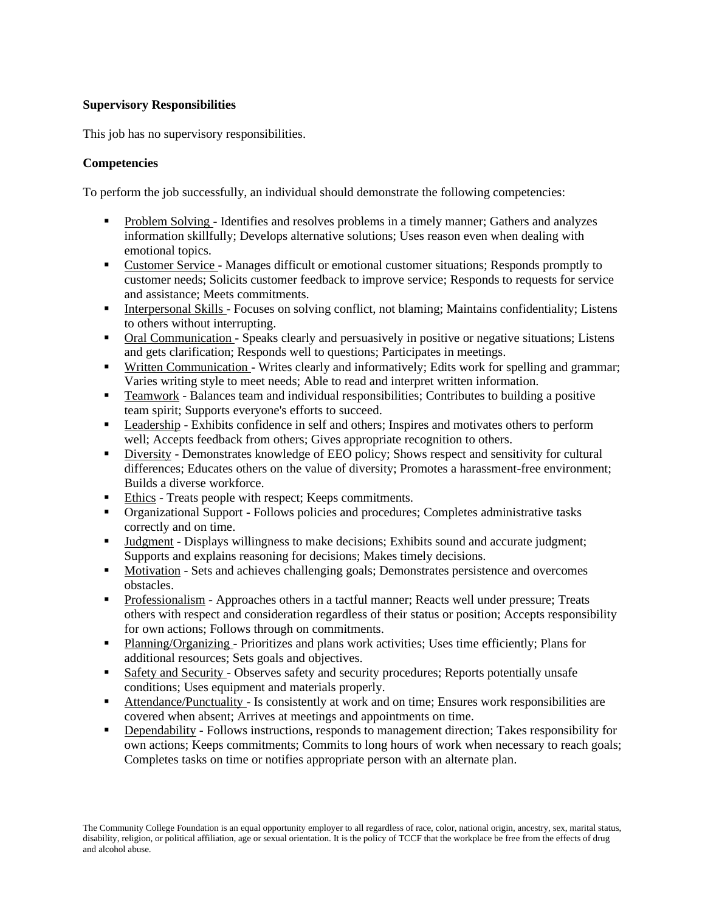## **Supervisory Responsibilities**

This job has no supervisory responsibilities.

## **Competencies**

To perform the job successfully, an individual should demonstrate the following competencies:

- **•** Problem Solving Identifies and resolves problems in a timely manner; Gathers and analyzes information skillfully; Develops alternative solutions; Uses reason even when dealing with emotional topics.
- **Example 3** Customer Service Manages difficult or emotional customer situations; Responds promptly to customer needs; Solicits customer feedback to improve service; Responds to requests for service and assistance; Meets commitments.
- **•** Interpersonal Skills Focuses on solving conflict, not blaming; Maintains confidentiality; Listens to others without interrupting.
- Oral Communication Speaks clearly and persuasively in positive or negative situations; Listens and gets clarification; Responds well to questions; Participates in meetings.
- Written Communication Writes clearly and informatively; Edits work for spelling and grammar; Varies writing style to meet needs; Able to read and interpret written information.
- **•** Teamwork Balances team and individual responsibilities; Contributes to building a positive team spirit; Supports everyone's efforts to succeed.
- Leadership Exhibits confidence in self and others; Inspires and motivates others to perform well; Accepts feedback from others; Gives appropriate recognition to others.
- **EXECUTE:** Demonstrates knowledge of EEO policy; Shows respect and sensitivity for cultural differences; Educates others on the value of diversity; Promotes a harassment-free environment; Builds a diverse workforce.
- Ethics Treats people with respect; Keeps commitments.
- Organizational Support Follows policies and procedures; Completes administrative tasks correctly and on time.
- Judgment Displays willingness to make decisions; Exhibits sound and accurate judgment; Supports and explains reasoning for decisions; Makes timely decisions.
- Motivation Sets and achieves challenging goals; Demonstrates persistence and overcomes obstacles.
- **Professionalism** Approaches others in a tactful manner; Reacts well under pressure; Treats others with respect and consideration regardless of their status or position; Accepts responsibility for own actions; Follows through on commitments.
- Planning/Organizing Prioritizes and plans work activities; Uses time efficiently; Plans for additional resources; Sets goals and objectives.
- Safety and Security Observes safety and security procedures; Reports potentially unsafe conditions; Uses equipment and materials properly.
- Attendance/Punctuality Is consistently at work and on time; Ensures work responsibilities are covered when absent; Arrives at meetings and appointments on time.
- **•** Dependability Follows instructions, responds to management direction; Takes responsibility for own actions; Keeps commitments; Commits to long hours of work when necessary to reach goals; Completes tasks on time or notifies appropriate person with an alternate plan.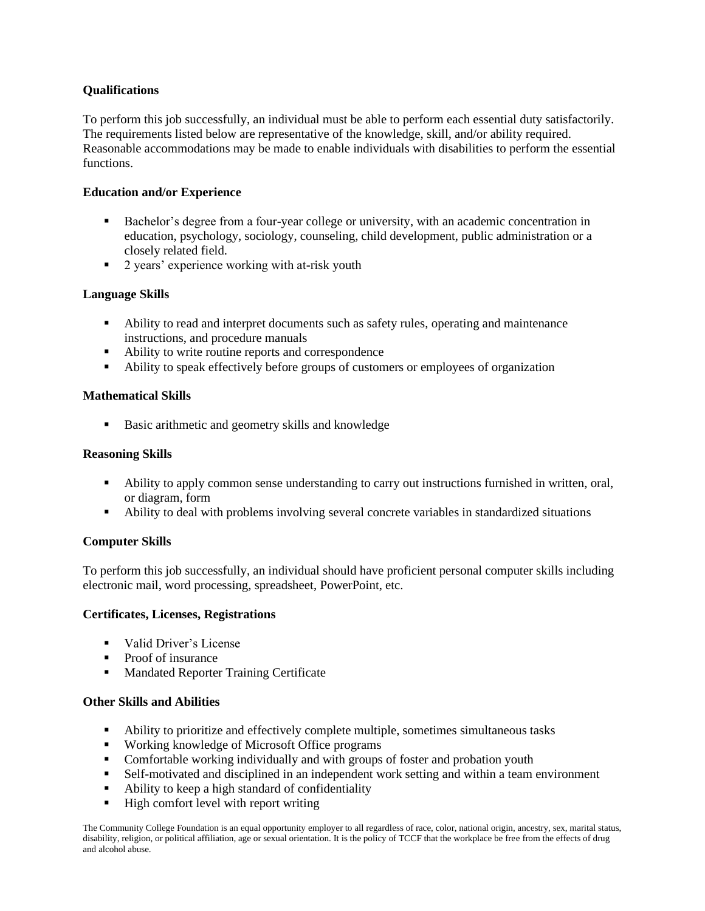## **Qualifications**

To perform this job successfully, an individual must be able to perform each essential duty satisfactorily. The requirements listed below are representative of the knowledge, skill, and/or ability required. Reasonable accommodations may be made to enable individuals with disabilities to perform the essential functions.

#### **Education and/or Experience**

- Bachelor's degree from a four-year college or university, with an academic concentration in education, psychology, sociology, counseling, child development, public administration or a closely related field.
- 2 years' experience working with at-risk youth

## **Language Skills**

- Ability to read and interpret documents such as safety rules, operating and maintenance instructions, and procedure manuals
- Ability to write routine reports and correspondence
- Ability to speak effectively before groups of customers or employees of organization

## **Mathematical Skills**

■ Basic arithmetic and geometry skills and knowledge

#### **Reasoning Skills**

- Ability to apply common sense understanding to carry out instructions furnished in written, oral, or diagram, form
- Ability to deal with problems involving several concrete variables in standardized situations

# **Computer Skills**

To perform this job successfully, an individual should have proficient personal computer skills including electronic mail, word processing, spreadsheet, PowerPoint, etc.

#### **Certificates, Licenses, Registrations**

- Valid Driver's License
- Proof of insurance
- Mandated Reporter Training Certificate

#### **Other Skills and Abilities**

- **•** Ability to prioritize and effectively complete multiple, sometimes simultaneous tasks
- Working knowledge of Microsoft Office programs
- Comfortable working individually and with groups of foster and probation youth
- **EXECUTE:** Self-motivated and disciplined in an independent work setting and within a team environment
- Ability to keep a high standard of confidentiality
- High comfort level with report writing

The Community College Foundation is an equal opportunity employer to all regardless of race, color, national origin, ancestry, sex, marital status, disability, religion, or political affiliation, age or sexual orientation. It is the policy of TCCF that the workplace be free from the effects of drug and alcohol abuse.